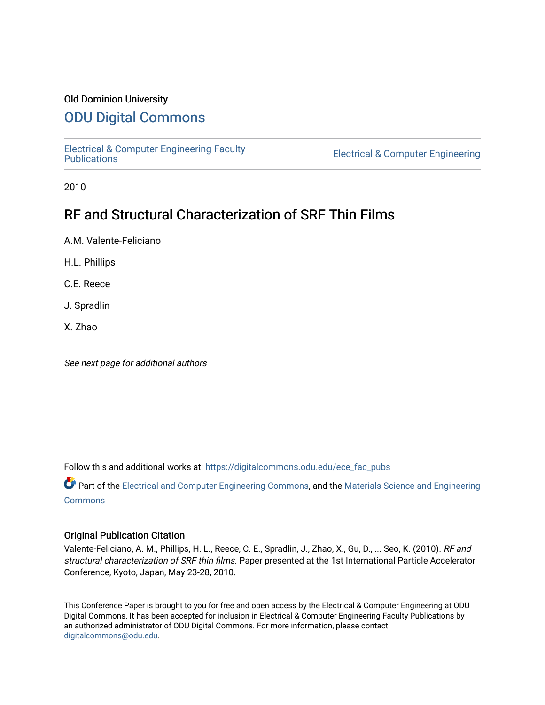## Old Dominion University

# [ODU Digital Commons](https://digitalcommons.odu.edu/)

[Electrical & Computer Engineering Faculty](https://digitalcommons.odu.edu/ece_fac_pubs) 

**Electrical & Computer Engineering** 

2010

# RF and Structural Characterization of SRF Thin Films

A.M. Valente-Feliciano

H.L. Phillips

C.E. Reece

J. Spradlin

X. Zhao

See next page for additional authors

Follow this and additional works at: [https://digitalcommons.odu.edu/ece\\_fac\\_pubs](https://digitalcommons.odu.edu/ece_fac_pubs?utm_source=digitalcommons.odu.edu%2Fece_fac_pubs%2F250&utm_medium=PDF&utm_campaign=PDFCoverPages) 

Part of the [Electrical and Computer Engineering Commons](http://network.bepress.com/hgg/discipline/266?utm_source=digitalcommons.odu.edu%2Fece_fac_pubs%2F250&utm_medium=PDF&utm_campaign=PDFCoverPages), and the [Materials Science and Engineering](http://network.bepress.com/hgg/discipline/285?utm_source=digitalcommons.odu.edu%2Fece_fac_pubs%2F250&utm_medium=PDF&utm_campaign=PDFCoverPages)  **[Commons](http://network.bepress.com/hgg/discipline/285?utm_source=digitalcommons.odu.edu%2Fece_fac_pubs%2F250&utm_medium=PDF&utm_campaign=PDFCoverPages)** 

## Original Publication Citation

Valente-Feliciano, A. M., Phillips, H. L., Reece, C. E., Spradlin, J., Zhao, X., Gu, D., ... Seo, K. (2010). RF and structural characterization of SRF thin films. Paper presented at the 1st International Particle Accelerator Conference, Kyoto, Japan, May 23-28, 2010.

This Conference Paper is brought to you for free and open access by the Electrical & Computer Engineering at ODU Digital Commons. It has been accepted for inclusion in Electrical & Computer Engineering Faculty Publications by an authorized administrator of ODU Digital Commons. For more information, please contact [digitalcommons@odu.edu](mailto:digitalcommons@odu.edu).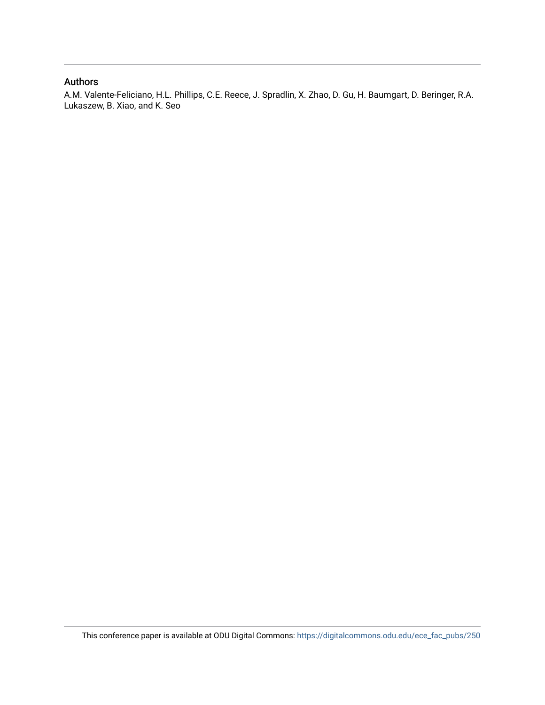## Authors

A.M. Valente-Feliciano, H.L. Phillips, C.E. Reece, J. Spradlin, X. Zhao, D. Gu, H. Baumgart, D. Beringer, R.A. Lukaszew, B. Xiao, and K. Seo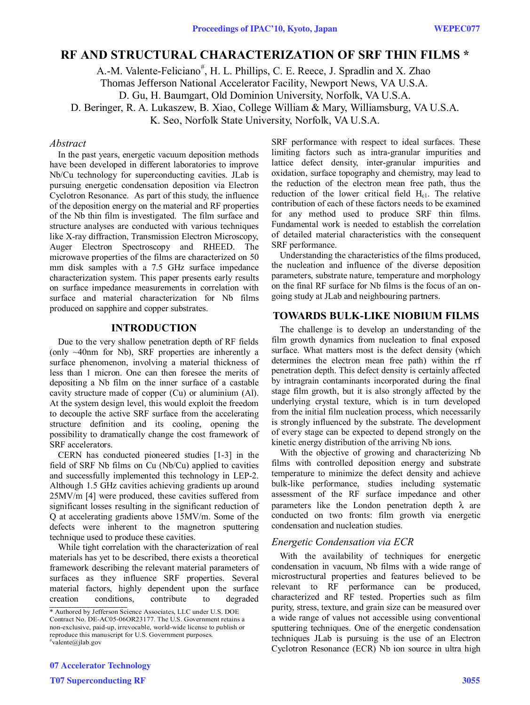# **RF AND STRUCTURAL CHARACTERIZATION OF SRF THIN FILMS \***

A.-M. Valente-Feliciano<sup>#</sup>, H. L. Phillips, C. E. Reece, J. Spradlin and X. Zhao

Thomas Jefferson National Accelerator Facility, Newport News, VA U.S.A.

D. Gu, H. Baumgart, Old Dominion University, Norfolk, VA U.S.A.

D. Beringer, R. A. Lukaszew, B. Xiao, College William & Mary, Williamsburg, VA U.S.A.

K. Seo, Norfolk State University, Norfolk, VA U.S.A.

#### *Abstract*

In the past years, energetic vacuum deposition methods have been developed in different laboratories to improve Nb/Cu technology for superconducting cavities. JLab is pursuing energetic condensation deposition via Electron Cyclotron Resonance. As part of this study, the influence of the deposition energy on the material and RF properties of the Nb thin film is investigated. The film surface and structure analyses are conducted with various techniques like X-ray diffraction, Transmission Electron Microscopy, Auger Electron Spectroscopy and RHEED. The microwave properties of the films are characterized on 50 mm disk samples with a 7.5 GHz surface impedance characterization system. This paper presents early results on surface impedance measurements in correlation with surface and material characterization for Nb films produced on sapphire and copper substrates.

#### **INTRODUCTION**

Due to the very shallow penetration depth of RF fields (only ~40nm for Nb), SRF properties are inherently a surface phenomenon, involving a material thickness of less than 1 micron. One can then foresee the merits of depositing a Nb film on the inner surface of a castable cavity structure made of copper (Cu) or aluminium (Al). At the system design level, this would exploit the freedom to decouple the active SRF surface from the accelerating structure definition and its cooling, opening the possibility to dramatically change the cost framework of SRF accelerators.

CERN has conducted pioneered studies [1-3] in the field of SRF Nb films on Cu (Nb/Cu) applied to cavities and successfully implemented this technology in LEP-2. Although 1.5 GHz cavities achieving gradients up around 25MV/m [4] were produced, these cavities suffered from significant losses resulting in the significant reduction of Q at accelerating gradients above 15MV/m. Some of the defects were inherent to the magnetron sputtering technique used to produce these cavities.

While tight correlation with the characterization of real materials has yet to be described, there exists a theoretical framework describing the relevant material parameters of surfaces as they influence SRF properties. Several material factors, highly dependent upon the surface creation conditions, contribute to degraded

07 Accelerator Technology T07 Superconducting RF 3055

SRF performance with respect to ideal surfaces. These limiting factors such as intra-granular impurities and lattice defect density, inter-granular impurities and oxidation, surface topography and chemistry, may lead to the reduction of the electron mean free path, thus the reduction of the lower critical field  $H_{c1}$ . The relative contribution of each of these factors needs to be examined for any method used to produce SRF thin films. Fundamental work is needed to establish the correlation of detailed material characteristics with the consequent SRF performance.

Understanding the characteristics of the films produced, the nucleation and influence of the diverse deposition parameters, substrate nature, temperature and morphology on the final RF surface for Nb films is the focus of an ongoing study at JLab and neighbouring partners.

#### **TOWARDS BULK-LIKE NIOBIUM FILMS**

The challenge is to develop an understanding of the film growth dynamics from nucleation to final exposed surface. What matters most is the defect density (which determines the electron mean free path) within the rf penetration depth. This defect density is certainly affected by intragrain contaminants incorporated during the final stage film growth, but it is also strongly affected by the underlying crystal texture, which is in turn developed from the initial film nucleation process, which necessarily is strongly influenced by the substrate. The development of every stage can be expected to depend strongly on the kinetic energy distribution of the arriving Nb ions.

With the objective of growing and characterizing Nb films with controlled deposition energy and substrate temperature to minimize the defect density and achieve bulk-like performance, studies including systematic assessment of the RF surface impedance and other parameters like the London penetration depth  $\lambda$  are conducted on two fronts: film growth via energetic condensation and nucleation studies.

#### *Energetic Condensation via ECR*

With the availability of techniques for energetic condensation in vacuum, Nb films with a wide range of microstructural properties and features believed to be relevant to RF performance can be produced, characterized and RF tested. Properties such as film purity, stress, texture, and grain size can be measured over a wide range of values not accessible using conventional sputtering techniques. One of the energetic condensation techniques JLab is pursuing is the use of an Electron Cyclotron Resonance (ECR) Nb ion source in ultra high

<sup>\*</sup> Authored by Jefferson Science Associates, LLC under U.S. DOE Contract No. DE-AC05-06OR23177. The U.S. Government retains a non-exclusive, paid-up, irrevocable, world-wide license to publish or reproduce this manuscript for U.S. Government purposes. # valente@jlab.gov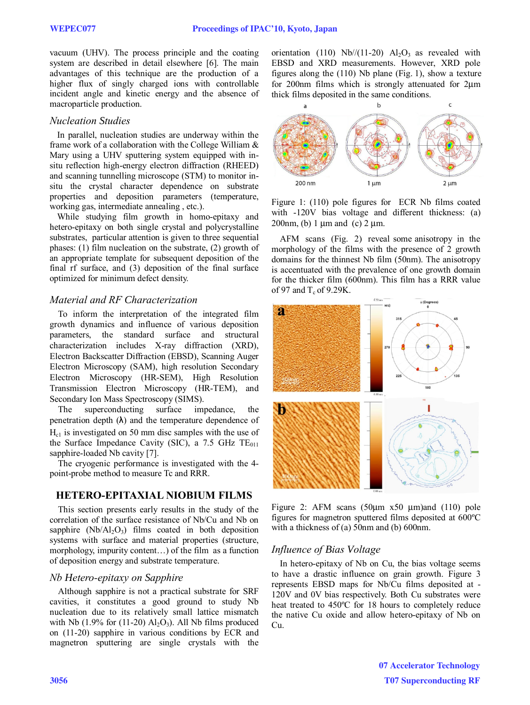vacuum (UHV). The process principle and the coating system are described in detail elsewhere [6]. The main advantages of this technique are the production of a higher flux of singly charged ions with controllable incident angle and kinetic energy and the absence of macroparticle production.

#### *Nucleation Studies*

In parallel, nucleation studies are underway within the frame work of a collaboration with the College William & Mary using a UHV sputtering system equipped with insitu reflection high-energy electron diffraction (RHEED) and scanning tunnelling microscope (STM) to monitor insitu the crystal character dependence on substrate properties and deposition parameters (temperature, working gas, intermediate annealing , etc.).

While studying film growth in homo-epitaxy and hetero-epitaxy on both single crystal and polycrystalline substrates, particular attention is given to three sequential phases: (1) film nucleation on the substrate, (2) growth of an appropriate template for subsequent deposition of the final rf surface, and (3) deposition of the final surface optimized for minimum defect density.

## *Material and RF Characterization*

To inform the interpretation of the integrated film growth dynamics and influence of various deposition parameters, the standard surface and structural characterization includes X-ray diffraction (XRD), Electron Backscatter Diffraction (EBSD), Scanning Auger Electron Microscopy (SAM), high resolution Secondary Electron Microscopy (HR-SEM), High Resolution Transmission Electron Microscopy (HR-TEM), and Secondary Ion Mass Spectroscopy (SIMS).

The superconducting surface impedance, the penetration depth  $(\lambda)$  and the temperature dependence of  $H<sub>cl</sub>$  is investigated on 50 mm disc samples with the use of the Surface Impedance Cavity (SIC), a 7.5 GHz  $TE_{011}$ sapphire-loaded Nb cavity [7].

The cryogenic performance is investigated with the 4 point-probe method to measure Tc and RRR.

# **HETERO-EPITAXIAL NIOBIUM FILMS**

This section presents early results in the study of the correlation of the surface resistance of Nb/Cu and Nb on sapphire  $(Nb/Al<sub>2</sub>O<sub>3</sub>)$  films coated in both deposition systems with surface and material properties (structure, morphology, impurity content…) of the film as a function of deposition energy and substrate temperature.

## *Nb Hetero-epitaxy on Sapphire*

Although sapphire is not a practical substrate for SRF cavities, it constitutes a good ground to study Nb nucleation due to its relatively small lattice mismatch with Nb (1.9% for (11-20)  $\text{Al}_2\text{O}_3$ ). All Nb films produced on (11-20) sapphire in various conditions by ECR and magnetron sputtering are single crystals with the orientation (110) Nb//(11-20)  $Al_2O_3$  as revealed with EBSD and XRD measurements. However, XRD pole figures along the (110) Nb plane (Fig. 1), show a texture for 200nm films which is strongly attenuated for 2μm thick films deposited in the same conditions.



Figure 1: (110) pole figures for ECR Nb films coated with -120V bias voltage and different thickness: (a) 200nm, (b) 1 μm and (c) 2 μm.

AFM scans (Fig. 2) reveal some anisotropy in the morphology of the films with the presence of 2 growth domains for the thinnest Nb film (50nm). The anisotropy is accentuated with the prevalence of one growth domain for the thicker film (600nm). This film has a RRR value of 97 and  $T_c$  of 9.29K.





# *Influence of Bias Voltage*

In hetero-epitaxy of Nb on Cu, the bias voltage seems to have a drastic influence on grain growth. Figure 3 represents EBSD maps for Nb/Cu films deposited at - 120V and 0V bias respectively. Both Cu substrates were heat treated to 450ºC for 18 hours to completely reduce the native Cu oxide and allow hetero-epitaxy of Nb on Cu.